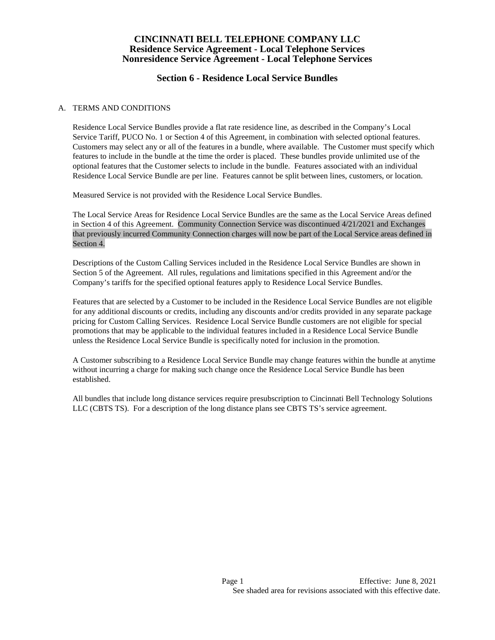## **Section 6 - Residence Local Service Bundles**

#### A. TERMS AND CONDITIONS

Residence Local Service Bundles provide a flat rate residence line, as described in the Company's Local Service Tariff, PUCO No. 1 or Section 4 of this Agreement, in combination with selected optional features. Customers may select any or all of the features in a bundle, where available. The Customer must specify which features to include in the bundle at the time the order is placed. These bundles provide unlimited use of the optional features that the Customer selects to include in the bundle. Features associated with an individual Residence Local Service Bundle are per line. Features cannot be split between lines, customers, or location.

Measured Service is not provided with the Residence Local Service Bundles.

The Local Service Areas for Residence Local Service Bundles are the same as the Local Service Areas defined in Section 4 of this Agreement. Community Connection Service was discontinued 4/21/2021 and Exchanges that previously incurred Community Connection charges will now be part of the Local Service areas defined in Section 4.

Descriptions of the Custom Calling Services included in the Residence Local Service Bundles are shown in Section 5 of the Agreement. All rules, regulations and limitations specified in this Agreement and/or the Company's tariffs for the specified optional features apply to Residence Local Service Bundles.

Features that are selected by a Customer to be included in the Residence Local Service Bundles are not eligible for any additional discounts or credits, including any discounts and/or credits provided in any separate package pricing for Custom Calling Services. Residence Local Service Bundle customers are not eligible for special promotions that may be applicable to the individual features included in a Residence Local Service Bundle unless the Residence Local Service Bundle is specifically noted for inclusion in the promotion.

A Customer subscribing to a Residence Local Service Bundle may change features within the bundle at anytime without incurring a charge for making such change once the Residence Local Service Bundle has been established.

All bundles that include long distance services require presubscription to Cincinnati Bell Technology Solutions LLC (CBTS TS). For a description of the long distance plans see CBTS TS's service agreement.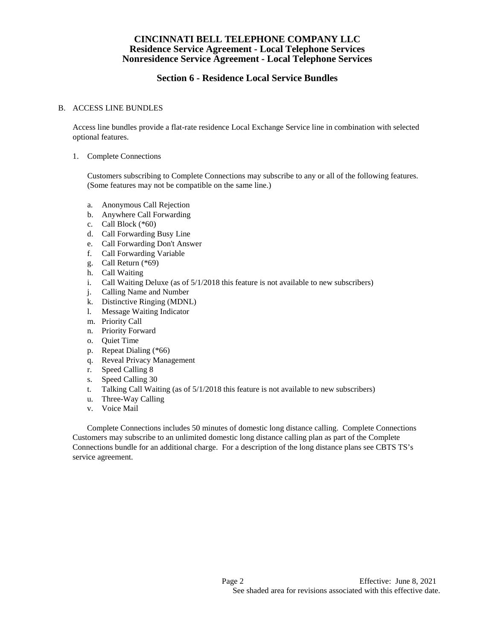# **Section 6 - Residence Local Service Bundles**

#### B. ACCESS LINE BUNDLES

Access line bundles provide a flat-rate residence Local Exchange Service line in combination with selected optional features.

1. Complete Connections

Customers subscribing to Complete Connections may subscribe to any or all of the following features. (Some features may not be compatible on the same line.)

- a. Anonymous Call Rejection
- b. Anywhere Call Forwarding
- c. Call Block (\*60)
- d. Call Forwarding Busy Line
- e. Call Forwarding Don't Answer
- f. Call Forwarding Variable
- g. Call Return (\*69)
- h. Call Waiting
- i. Call Waiting Deluxe (as of 5/1/2018 this feature is not available to new subscribers)
- j. Calling Name and Number
- k. Distinctive Ringing (MDNL)
- l. Message Waiting Indicator
- m. Priority Call
- n. Priority Forward
- o. Quiet Time
- p. Repeat Dialing (\*66)
- q. Reveal Privacy Management
- r. Speed Calling 8
- s. Speed Calling 30
- t. Talking Call Waiting (as of 5/1/2018 this feature is not available to new subscribers)
- u. Three-Way Calling
- v. Voice Mail

Complete Connections includes 50 minutes of domestic long distance calling. Complete Connections Customers may subscribe to an unlimited domestic long distance calling plan as part of the Complete Connections bundle for an additional charge. For a description of the long distance plans see CBTS TS's service agreement.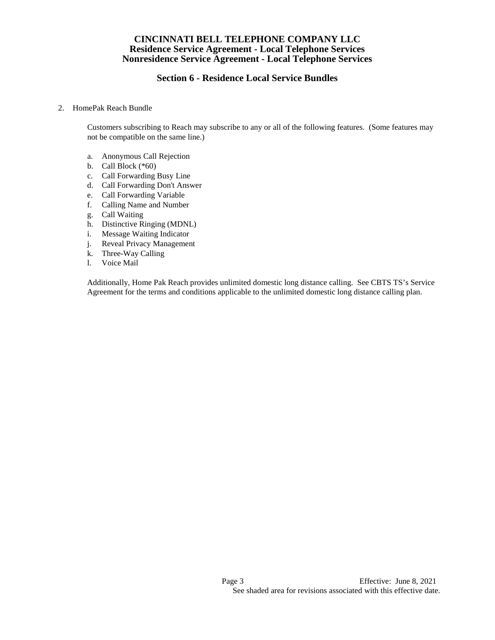# **Section 6 - Residence Local Service Bundles**

#### 2. HomePak Reach Bundle

Customers subscribing to Reach may subscribe to any or all of the following features. (Some features may not be compatible on the same line.)

- a. Anonymous Call Rejection
- b. Call Block  $(*60)$
- c. Call Forwarding Busy Line
- d. Call Forwarding Don't Answer
- e. Call Forwarding Variable
- f. Calling Name and Number
- g. Call Waiting
- h. Distinctive Ringing (MDNL)
- i. Message Waiting Indicator
- j. Reveal Privacy Management
- k. Three-Way Calling
- l. Voice Mail

Additionally, Home Pak Reach provides unlimited domestic long distance calling. See CBTS TS's Service Agreement for the terms and conditions applicable to the unlimited domestic long distance calling plan.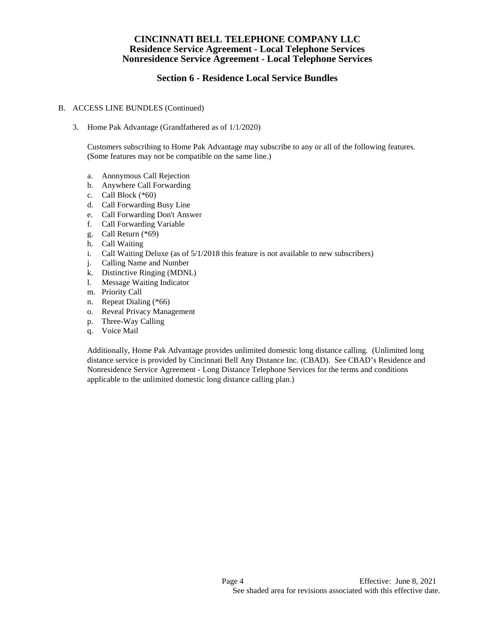# **Section 6 - Residence Local Service Bundles**

#### B. ACCESS LINE BUNDLES (Continued)

3. Home Pak Advantage (Grandfathered as of 1/1/2020)

Customers subscribing to Home Pak Advantage may subscribe to any or all of the following features. (Some features may not be compatible on the same line.)

- a. Anonymous Call Rejection
- b. Anywhere Call Forwarding
- c. Call Block (\*60)
- d. Call Forwarding Busy Line
- e. Call Forwarding Don't Answer
- f. Call Forwarding Variable
- g. Call Return (\*69)
- h. Call Waiting
- i. Call Waiting Deluxe (as of 5/1/2018 this feature is not available to new subscribers)
- j. Calling Name and Number
- k. Distinctive Ringing (MDNL)
- l. Message Waiting Indicator
- m. Priority Call
- n. Repeat Dialing (\*66)
- o. Reveal Privacy Management
- p. Three-Way Calling
- q. Voice Mail

Additionally, Home Pak Advantage provides unlimited domestic long distance calling. (Unlimited long distance service is provided by Cincinnati Bell Any Distance Inc. (CBAD). See CBAD's Residence and Nonresidence Service Agreement - Long Distance Telephone Services for the terms and conditions applicable to the unlimited domestic long distance calling plan.)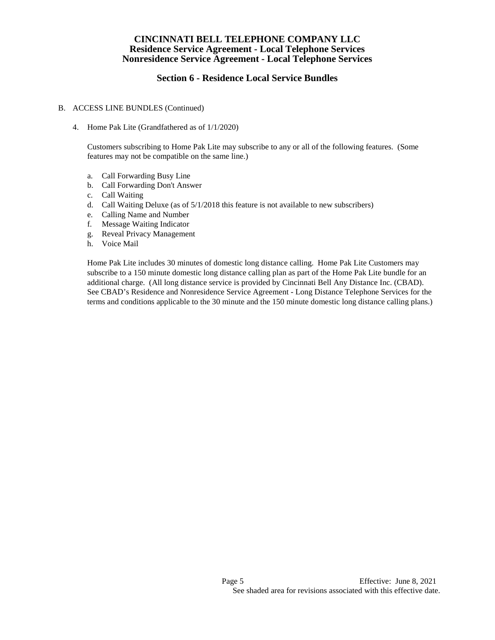## **Section 6 - Residence Local Service Bundles**

#### B. ACCESS LINE BUNDLES (Continued)

4. Home Pak Lite (Grandfathered as of 1/1/2020)

Customers subscribing to Home Pak Lite may subscribe to any or all of the following features. (Some features may not be compatible on the same line.)

- a. Call Forwarding Busy Line
- b. Call Forwarding Don't Answer
- c. Call Waiting
- d. Call Waiting Deluxe (as of 5/1/2018 this feature is not available to new subscribers)
- e. Calling Name and Number
- f. Message Waiting Indicator
- g. Reveal Privacy Management
- h. Voice Mail

Home Pak Lite includes 30 minutes of domestic long distance calling. Home Pak Lite Customers may subscribe to a 150 minute domestic long distance calling plan as part of the Home Pak Lite bundle for an additional charge. (All long distance service is provided by Cincinnati Bell Any Distance Inc. (CBAD). See CBAD's Residence and Nonresidence Service Agreement - Long Distance Telephone Services for the terms and conditions applicable to the 30 minute and the 150 minute domestic long distance calling plans.)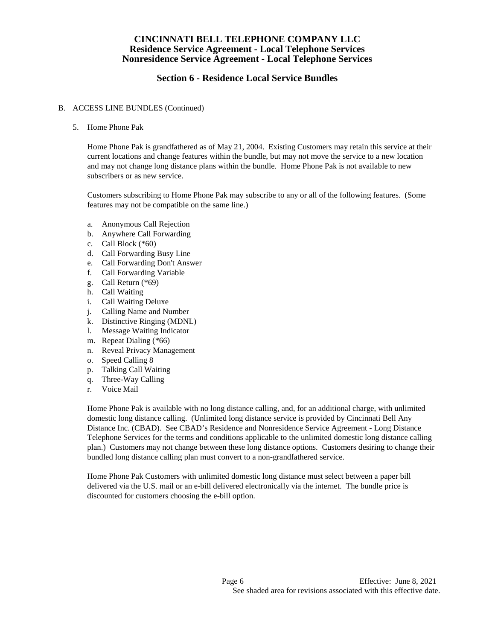# **Section 6 - Residence Local Service Bundles**

#### B. ACCESS LINE BUNDLES (Continued)

5. Home Phone Pak

Home Phone Pak is grandfathered as of May 21, 2004. Existing Customers may retain this service at their current locations and change features within the bundle, but may not move the service to a new location and may not change long distance plans within the bundle. Home Phone Pak is not available to new subscribers or as new service.

Customers subscribing to Home Phone Pak may subscribe to any or all of the following features. (Some features may not be compatible on the same line.)

- a. Anonymous Call Rejection
- b. Anywhere Call Forwarding
- c. Call Block (\*60)
- d. Call Forwarding Busy Line
- e. Call Forwarding Don't Answer
- f. Call Forwarding Variable
- g. Call Return (\*69)
- h. Call Waiting
- i. Call Waiting Deluxe
- j. Calling Name and Number
- k. Distinctive Ringing (MDNL)
- l. Message Waiting Indicator
- m. Repeat Dialing (\*66)
- n. Reveal Privacy Management
- o. Speed Calling 8
- p. Talking Call Waiting
- q. Three-Way Calling
- r. Voice Mail

Home Phone Pak is available with no long distance calling, and, for an additional charge, with unlimited domestic long distance calling. (Unlimited long distance service is provided by Cincinnati Bell Any Distance Inc. (CBAD). See CBAD's Residence and Nonresidence Service Agreement - Long Distance Telephone Services for the terms and conditions applicable to the unlimited domestic long distance calling plan.) Customers may not change between these long distance options. Customers desiring to change their bundled long distance calling plan must convert to a non-grandfathered service.

Home Phone Pak Customers with unlimited domestic long distance must select between a paper bill delivered via the U.S. mail or an e-bill delivered electronically via the internet. The bundle price is discounted for customers choosing the e-bill option.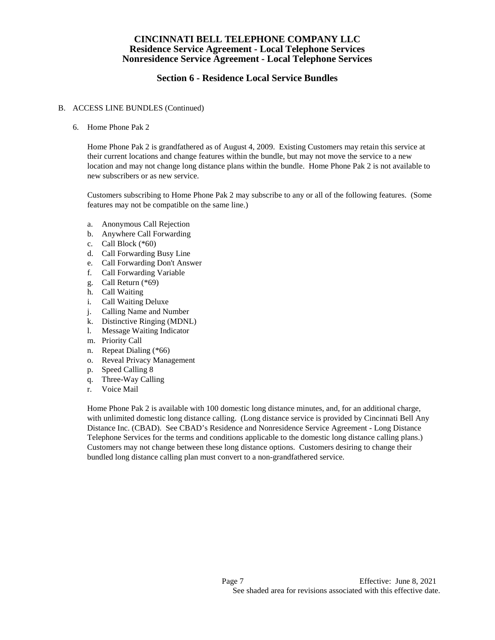# **Section 6 - Residence Local Service Bundles**

#### B. ACCESS LINE BUNDLES (Continued)

6. Home Phone Pak 2

Home Phone Pak 2 is grandfathered as of August 4, 2009. Existing Customers may retain this service at their current locations and change features within the bundle, but may not move the service to a new location and may not change long distance plans within the bundle. Home Phone Pak 2 is not available to new subscribers or as new service.

Customers subscribing to Home Phone Pak 2 may subscribe to any or all of the following features. (Some features may not be compatible on the same line.)

- a. Anonymous Call Rejection
- b. Anywhere Call Forwarding
- c. Call Block (\*60)
- d. Call Forwarding Busy Line
- e. Call Forwarding Don't Answer
- f. Call Forwarding Variable
- g. Call Return (\*69)
- h. Call Waiting
- i. Call Waiting Deluxe
- j. Calling Name and Number
- k. Distinctive Ringing (MDNL)
- l. Message Waiting Indicator
- m. Priority Call
- n. Repeat Dialing (\*66)
- o. Reveal Privacy Management
- p. Speed Calling 8
- q. Three-Way Calling
- r. Voice Mail

Home Phone Pak 2 is available with 100 domestic long distance minutes, and, for an additional charge, with unlimited domestic long distance calling. (Long distance service is provided by Cincinnati Bell Any Distance Inc. (CBAD). See CBAD's Residence and Nonresidence Service Agreement - Long Distance Telephone Services for the terms and conditions applicable to the domestic long distance calling plans.) Customers may not change between these long distance options. Customers desiring to change their bundled long distance calling plan must convert to a non-grandfathered service.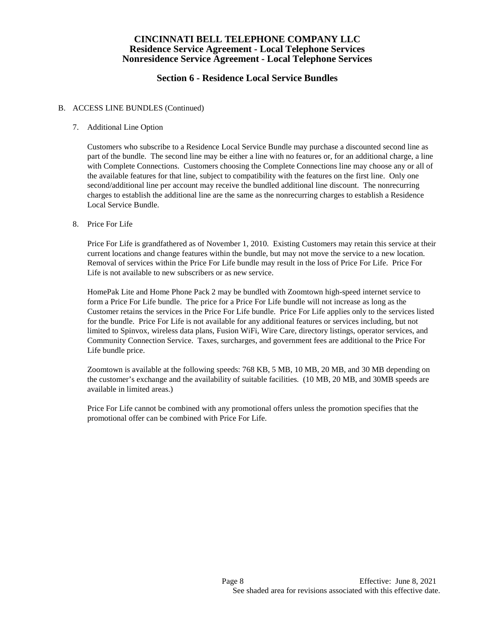# **Section 6 - Residence Local Service Bundles**

#### B. ACCESS LINE BUNDLES (Continued)

7. Additional Line Option

Customers who subscribe to a Residence Local Service Bundle may purchase a discounted second line as part of the bundle. The second line may be either a line with no features or, for an additional charge, a line with Complete Connections. Customers choosing the Complete Connections line may choose any or all of the available features for that line, subject to compatibility with the features on the first line. Only one second/additional line per account may receive the bundled additional line discount. The nonrecurring charges to establish the additional line are the same as the nonrecurring charges to establish a Residence Local Service Bundle.

8. Price For Life

Price For Life is grandfathered as of November 1, 2010. Existing Customers may retain this service at their current locations and change features within the bundle, but may not move the service to a new location. Removal of services within the Price For Life bundle may result in the loss of Price For Life. Price For Life is not available to new subscribers or as new service.

HomePak Lite and Home Phone Pack 2 may be bundled with Zoomtown high-speed internet service to form a Price For Life bundle. The price for a Price For Life bundle will not increase as long as the Customer retains the services in the Price For Life bundle. Price For Life applies only to the services listed for the bundle. Price For Life is not available for any additional features or services including, but not limited to Spinvox, wireless data plans, Fusion WiFi, Wire Care, directory listings, operator services, and Community Connection Service. Taxes, surcharges, and government fees are additional to the Price For Life bundle price.

Zoomtown is available at the following speeds: 768 KB, 5 MB, 10 MB, 20 MB, and 30 MB depending on the customer's exchange and the availability of suitable facilities. (10 MB, 20 MB, and 30MB speeds are available in limited areas.)

Price For Life cannot be combined with any promotional offers unless the promotion specifies that the promotional offer can be combined with Price For Life.